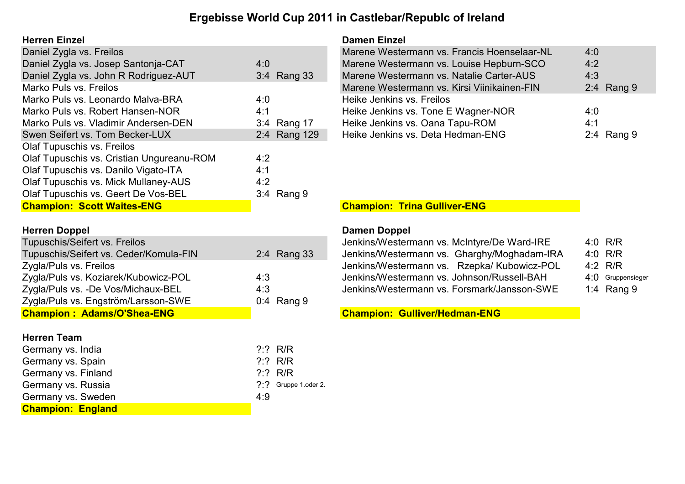## Ergebisse World Cup 2011 in Castlebar/Republc of Ireland

### **Herren Einzel**

| Daniel Zygla vs. Freilos                  |              | Marene Westermann vs. Francis Hoenselaar-NL | 4:0        |
|-------------------------------------------|--------------|---------------------------------------------|------------|
| Daniel Zygla vs. Josep Santonja-CAT       | 4:0          | Marene Westermann vs. Louise Hepburn-SCO    | 4:2        |
| Daniel Zygla vs. John R Rodriguez-AUT     | 3:4 Rang 33  | Marene Westermann vs. Natalie Carter-AUS    | 4:3        |
| Marko Puls vs. Freilos                    |              | Marene Westermann vs. Kirsi Viinikainen-FIN | 2:4 Rang 9 |
| Marko Puls vs. Leonardo Malva-BRA         | 4:0          | Heike Jenkins vs. Freilos                   |            |
| Marko Puls vs. Robert Hansen-NOR          | 4:1          | Heike Jenkins vs. Tone E Wagner-NOR         | 4:0        |
| Marko Puls vs. Vladimir Andersen-DEN      | 3:4 Rang 17  | Heike Jenkins vs. Oana Tapu-ROM             | 4:1        |
| Swen Seifert vs. Tom Becker-LUX           | 2:4 Rang 129 | Heike Jenkins vs. Deta Hedman-ENG           | 2:4 Rang 9 |
| Olaf Tupuschis vs. Freilos                |              |                                             |            |
| Olaf Tupuschis vs. Cristian Ungureanu-ROM | 4:2          |                                             |            |
| Olaf Tupuschis vs. Danilo Vigato-ITA      | 4:1          |                                             |            |
| Olaf Tupuschis vs. Mick Mullaney-AUS      | 4:2          |                                             |            |
| Olaf Tupuschis vs. Geert De Vos-BEL       | 3:4 Rang 9   |                                             |            |
| <b>Champion: Scott Waites-ENG</b>         |              | <b>Champion: Trina Gulliver-ENG</b>         |            |

| <b>Herren Doppel</b>                   |              | Damen Doppel                                |                   |
|----------------------------------------|--------------|---------------------------------------------|-------------------|
| Tupuschis/Seifert vs. Freilos          |              | Jenkins/Westermann vs. McIntyre/De Ward-IRE | 4:0 $R/R$         |
| Tupuschis/Seifert vs. Ceder/Komula-FIN | 2:4 Rang 33  | Jenkins/Westermann vs. Gharghy/Moghadam-IRA | 4:0 $R/R$         |
| Zygla/Puls vs. Freilos                 |              | Jenkins/Westermann vs. Rzepka/ Kubowicz-POL | 4:2 $R/R$         |
| Zygla/Puls vs. Koziarek/Kubowicz-POL   | 4:3          | Jenkins/Westermann vs. Johnson/Russell-BAH  | 4:0 Gruppensieger |
| Zygla/Puls vs. -De Vos/Michaux-BEL     | 4:3          | Jenkins/Westermann vs. Forsmark/Jansson-SWE | 1:4 Rang $9$      |
| Zygla/Puls vs. Engström/Larsson-SWE    | $0:4$ Rang 9 |                                             |                   |
| <b>Champion: Adams/O'Shea-ENG</b>      |              | <b>Champion: Gulliver/Hedman-ENG</b>        |                   |

### Herren Team

| <b>Champion: England</b> |     |                          |
|--------------------------|-----|--------------------------|
| Germany vs. Sweden       | 4.9 |                          |
| Germany vs. Russia       |     | $?$ $?$ Gruppe 1 oder 2. |
| Germany vs. Finland      |     | ? : ? R/R                |
| Germany vs. Spain        |     | ? : ? R/R                |
| Germany vs. India        |     | ? : ? R/R                |

| <b>Damen Einzel</b>                         |              |
|---------------------------------------------|--------------|
| Marene Westermann vs. Francis Hoenselaar-NL | 4:0          |
| Marene Westermann vs. Louise Hepburn-SCO    | 4:2          |
| Marene Westermann vs. Natalie Carter-AUS    | 4:3          |
| Marene Westermann vs. Kirsi Viinikainen-FIN | $2:4$ Rang 9 |
| Heike Jenkins vs. Freilos                   |              |
| Heike Jenkins vs. Tone E Wagner-NOR         | 4:0          |
| Heike Jenkins vs. Oana Tapu-ROM             | 4:1          |
| Heike Jenkins vs. Deta Hedman-ENG           | $2:4$ Rang 9 |

## **Champion: Trina Gulliver-ENG**

| Jenkins/Westermann vs. McIntyre/De Ward-IRE | 4:0 $R/R$              |
|---------------------------------------------|------------------------|
| Jenkins/Westermann vs. Gharghy/Moghadam-IRA | 4:0 $R/R$              |
| Jenkins/Westermann vs. Rzepka/ Kubowicz-POL | $4:2$ R/R              |
| Jenkins/Westermann vs. Johnson/Russell-BAH  | 4:0 Gruppens           |
| Jenkins/Westermann vs. Forsmark/Jansson-SWE | 1:4 Rang $\frac{1}{2}$ |

Champion: Gulliver/Hedman-ENG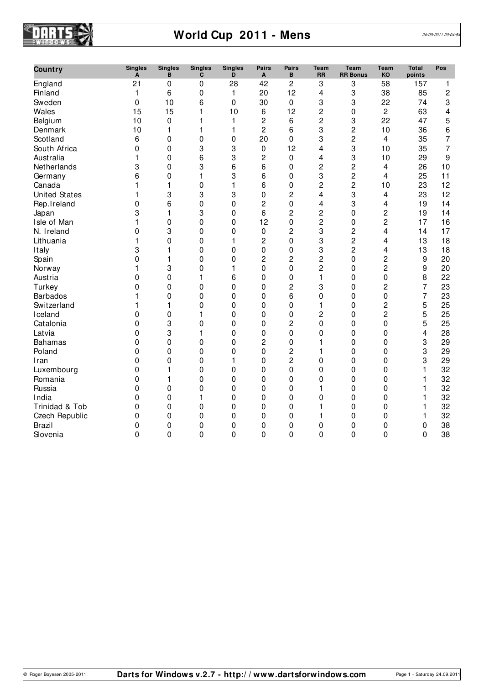

# **World Cup 2011 - Mens** 24/09/2011 20:04:5

| Country              | <b>Singles</b><br>A | <b>Singles</b><br>B | <b>Singles</b><br>C | <b>Singles</b><br>D | Pairs<br>A     | <b>Pairs</b><br>B | <b>Team</b><br><b>RR</b> | <b>Team</b><br><b>RR Bonus</b> | <b>Team</b><br>KO | <b>Total</b><br>points | Pos |
|----------------------|---------------------|---------------------|---------------------|---------------------|----------------|-------------------|--------------------------|--------------------------------|-------------------|------------------------|-----|
| England              | 21                  | 0                   | 0                   | 28                  | 42             | $\overline{c}$    | 3                        | 3                              | 58                | 157                    | 1   |
| Finland              | 1                   | 6                   | 0                   | 1                   | 20             | 12                | $\overline{\mathbf{4}}$  | 3                              | 38                | 85                     | 2   |
| Sweden               | 0                   | 10                  | 6                   | 0                   | 30             | $\mathbf 0$       | 3                        | 3                              | 22                | 74                     | 3   |
| Wales                | 15                  | 15                  | 1                   | 10                  | 6              | 12                | $\overline{c}$           | 0                              | 2                 | 63                     | 4   |
| Belgium              | 10                  | $\pmb{0}$           | 1                   | 1                   | $\overline{c}$ | 6                 | $\overline{c}$           | 3                              | 22                | 47                     | 5   |
| Denmark              | 10                  | 1                   | 1                   | $\mathbf{1}$        | $\overline{c}$ | 6                 | 3                        | $\overline{c}$                 | 10                | 36                     | 6   |
| Scotland             | 6                   | 0                   | $\mathbf{0}$        | 0                   | 20             | $\mathbf 0$       | 3                        | $\overline{c}$                 | 4                 | 35                     | 7   |
| South Africa         | 0                   | 0                   | 3                   | 3                   | 0              | 12                | 4                        | 3                              | 10                | 35                     | 7   |
| Australia            | 1                   | $\Omega$            | 6                   | 3                   | 2              | $\mathbf 0$       | 4                        | 3                              | 10                | 29                     | 9   |
| Netherlands          | 3                   | $\mathbf{0}$        | 3                   | 6                   | 6              | $\Omega$          | $\overline{c}$           | $\overline{c}$                 | 4                 | 26                     | 10  |
| Germany              | 6                   | 0                   | 1                   | 3                   | 6              | $\mathbf 0$       | 3                        | $\overline{c}$                 | 4                 | 25                     | 11  |
| Canada               | 1                   | 1                   | $\mathbf 0$         | $\mathbf{1}$        | 6              | $\pmb{0}$         | $\overline{2}$           | $\overline{c}$                 | 10                | 23                     | 12  |
| <b>United States</b> | 1                   | 3                   | 3                   | 3                   | 0              | $\overline{c}$    | 4                        | 3                              | 4                 | 23                     | 12  |
| Rep.Ireland          | 0                   | 6                   | 0                   | 0                   | $\overline{c}$ | $\mathbf 0$       | 4                        | 3                              | 4                 | 19                     | 14  |
| Japan                | 3                   | 1                   | 3                   | 0                   | 6              | $\overline{c}$    | $\overline{c}$           | $\boldsymbol{0}$               | 2                 | 19                     | 14  |
| Isle of Man          | 1                   | $\Omega$            | 0                   | $\mathbf{0}$        | 12             | $\mathbf 0$       | $\overline{c}$           | 0                              | 2                 | 17                     | 16  |
| N. Ireland           | 0                   | 3                   | 0                   | 0                   | 0              | 2                 | 3                        | $\overline{c}$                 | 4                 | 14                     | 17  |
| Lithuania            | 1                   | 0                   | 0                   | 1                   | $\overline{c}$ | $\mathbf 0$       | 3                        | $\overline{c}$                 | 4                 | 13                     | 18  |
| Italy                | 3                   | 1                   | $\mathbf 0$         | 0                   | 0              | $\pmb{0}$         | 3                        | $\overline{c}$                 | 4                 | 13                     | 18  |
| Spain                | 0                   | 1                   | $\mathbf 0$         | $\mathbf 0$         | $\overline{c}$ | 2                 | $\overline{c}$           | $\mathbf 0$                    | $\overline{c}$    | $9\,$                  | 20  |
| Norway               | 1                   | 3                   | 0                   | 1                   | 0              | $\mathbf 0$       | $\overline{c}$           | $\boldsymbol{0}$               | $\overline{c}$    | 9                      | 20  |
| Austria              | 0                   | 0                   | 1                   | 6                   | 0              | $\mathbf 0$       | 1                        | 0                              | 0                 | 8                      | 22  |
| Turkey               | 0                   | $\mathbf{0}$        | $\Omega$            | 0                   | 0              | $\overline{c}$    | 3                        | $\mathbf{0}$                   | 2                 | 7                      | 23  |
| <b>Barbados</b>      | 1                   | 0                   | $\mathbf 0$         | 0                   | 0              | 6                 | $\mathbf 0$              | 0                              | 0                 | $\overline{7}$         | 23  |
| Switzerland          | 1                   | 1                   | 0                   | 0                   | 0              | $\mathbf 0$       | 1                        | 0                              | 2                 | 5                      | 25  |
| Iceland              | 0                   | $\mathbf 0$         | 1                   | 0                   | 0              | $\mathbf 0$       | $\overline{c}$           | $\mathbf 0$                    | $\overline{c}$    | 5                      | 25  |
| Catalonia            | 0                   | 3                   | $\mathbf 0$         | 0                   | $\mathbf 0$    | 2                 | $\mathbf 0$              | 0                              | 0                 | 5                      | 25  |
| Latvia               | 0                   | 3                   | 1                   | 0                   | 0              | $\mathbf 0$       | 0                        | 0                              | 0                 | 4                      | 28  |
| <b>Bahamas</b>       | 0                   | 0                   | $\mathbf 0$         | 0                   | $\overline{c}$ | $\mathbf 0$       | 1                        | 0                              | 0                 | 3                      | 29  |
| Poland               | 0                   | 0                   | 0                   | 0                   | 0              | $\overline{c}$    | 1                        | 0                              | 0                 | 3                      | 29  |
| Iran                 | 0                   | 0                   | 0                   | 1                   | 0              | 2                 | 0                        | 0                              | 0                 | 3                      | 29  |
| Luxembourg           | 0                   | 1                   | 0                   | 0                   | 0              | $\mathbf 0$       | 0                        | 0                              | 0                 | 1                      | 32  |
| Romania              | 0                   | 1                   | 0                   | 0                   | 0              | $\mathbf 0$       | 0                        | 0                              | 0                 |                        | 32  |
| Russia               | 0                   | 0                   | 0                   | 0                   | 0              | $\mathbf 0$       | 1                        | 0                              | 0                 | 1                      | 32  |
| India                | 0                   | 0                   | 1                   | 0                   | 0              | $\mathbf 0$       | $\mathbf 0$              | $\mathbf{0}$                   | 0                 | 1                      | 32  |
| Trinidad & Tob       | 0                   | 0                   | 0                   | 0                   | 0              | $\mathbf 0$       | 1                        | 0                              | 0                 | 1                      | 32  |
| Czech Republic       | 0                   | 0                   | 0                   | 0                   | 0              | $\mathbf 0$       | 1                        | 0                              | 0                 | 1                      | 32  |
| <b>Brazil</b>        | 0                   | 0                   | 0                   | 0                   | 0              | $\mathbf 0$       | 0                        | 0                              | 0                 | 0                      | 38  |
| Slovenia             | 0                   | $\mathbf 0$         | 0                   | $\mathbf{0}$        | 0              | 0                 | 0                        | $\mathbf{0}$                   | 0                 | 0                      | 38  |